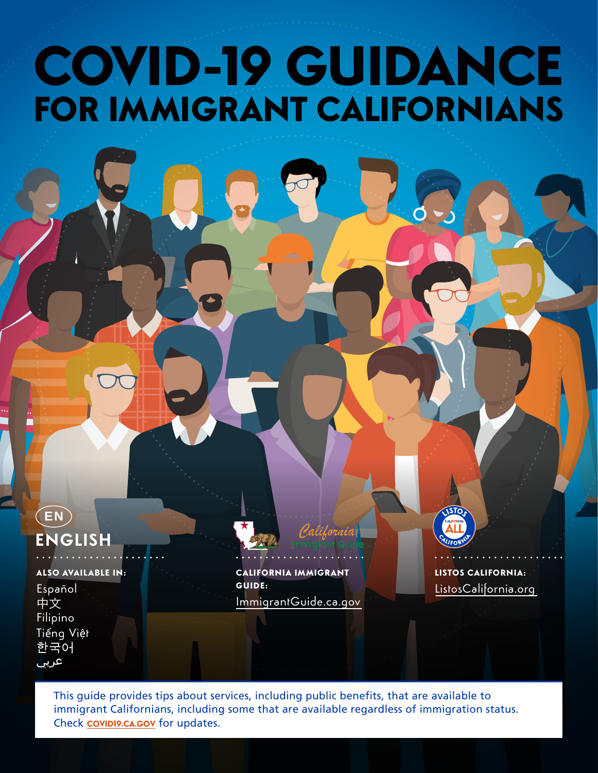# COVID-19 GUIDANCE FOR IMMIGRANT CALIFORNIANS

### **ENGLISH EN**

#### ALSO AVAILABLE IN:

Español 中文 Filipino Tiếng Việt 한국어 عربي

CALIFORNIA IMMIGRANT GUIDE: [ImmigrantGuide.ca.gov](https://immigrantguide.ca.gov/) LISTOS CALIFORNIA: [ListosCalifornia.org](https://www.listoscalifornia.org/)

This guide provides tips about services, including public benefits, that are available to immigrant Californians, including some that are available regardless of immigration status. Check **[COVID19.CA.GOV](https://covid19.ca.gov/)** for updates.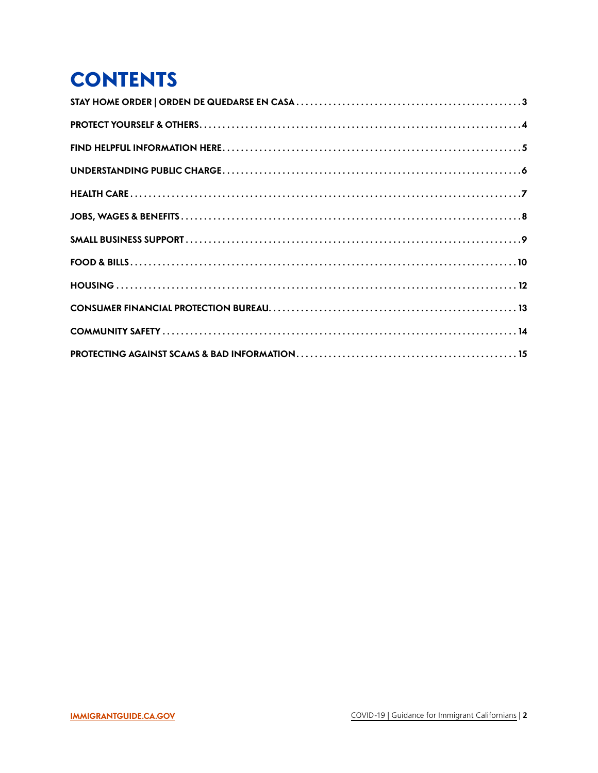# <span id="page-1-0"></span>**CONTENTS**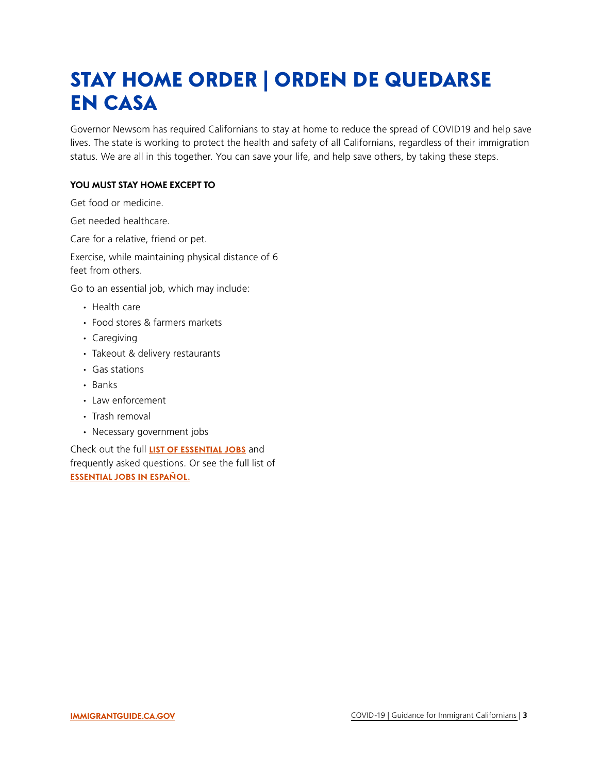### <span id="page-2-0"></span>STAY HOME ORDER | ORDEN DE QUEDARSE EN CASA

Governor Newsom has required Californians to stay at home to reduce the spread of COVID19 and help save lives. The state is working to protect the health and safety of all Californians, regardless of their immigration status. We are all in this together. You can save your life, and help save others, by taking these steps.

#### **YOU MUST STAY HOME EXCEPT TO**

Get food or medicine.

Get needed healthcare.

Care for a relative, friend or pet.

Exercise, while maintaining physical distance of 6 feet from others.

Go to an essential job, which may include:

- ∙ Health care
- ∙ Food stores & farmers markets
- ∙ Caregiving
- ∙ Takeout & delivery restaurants
- ∙ Gas stations
- ∙ Banks
- ∙ Law enforcement
- ∙ Trash removal
- ∙ Necessary government jobs

Check out the full **[LIST OF ESSENTIAL JOBS](https://covid19.ca.gov/stay-home-except-for-essential-needs/#top)** and frequently asked questions. Or see the full list of **[ESSENTIAL JOBS IN ESPAÑOL.](https://covid19.ca.gov/quedese-en-casa-excepto-por-necesidades-esenciales/)**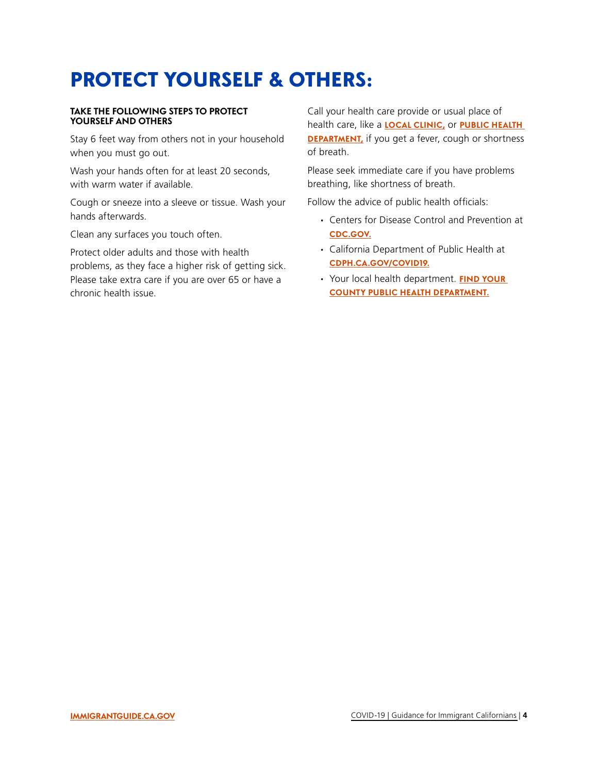### <span id="page-3-0"></span>PROTECT YOURSELF & OTHERS:

#### **TAKE THE FOLLOWING STEPS TO PROTECT YOURSELF AND OTHERS**

Stay 6 feet way from others not in your household when you must go out.

Wash your hands often for at least 20 seconds, with warm water if available.

Cough or sneeze into a sleeve or tissue. Wash your hands afterwards.

Clean any surfaces you touch often.

Protect older adults and those with health problems, as they face a higher risk of getting sick. Please take extra care if you are over 65 or have a chronic health issue.

Call your health care provide or usual place of health care, like a **[LOCAL CLINIC,](https://www.californiahealthplus.org/CHPlus/Find_My_Health_Plus_Center/CHPlus/FIND_MY_HEALTH__CENTER/Clinic-Finder.aspx?hkey=9cd9f887-b092-4439-a9bc-7032454c9273)** or **[PUBLIC HEALTH](https://www.cdph.ca.gov/Pages/LocalHealthServicesAndOffices.aspx)  DEPARTMENT**, if you get a fever, cough or shortness of breath.

Please seek immediate care if you have problems breathing, like shortness of breath.

Follow the advice of public health officials:

- ∙ Centers for Disease Control and Prevention at **[CDC.GOV.](https://www.cdc.gov/)**
- ∙ California Department of Public Health at **[CDPH.CA.GOV/COVID19.](https://www.cdph.ca.gov/Programs/CID/DCDC/Pages/Immunization/ncov2019.aspx)**
- ∙ Your local health department. **[FIND YOUR](https://www.cdph.ca.gov/Pages/LocalHealthServicesAndOffices.aspx)  [COUNTY PUBLIC HEALTH DEPARTMENT.](https://www.cdph.ca.gov/Pages/LocalHealthServicesAndOffices.aspx)**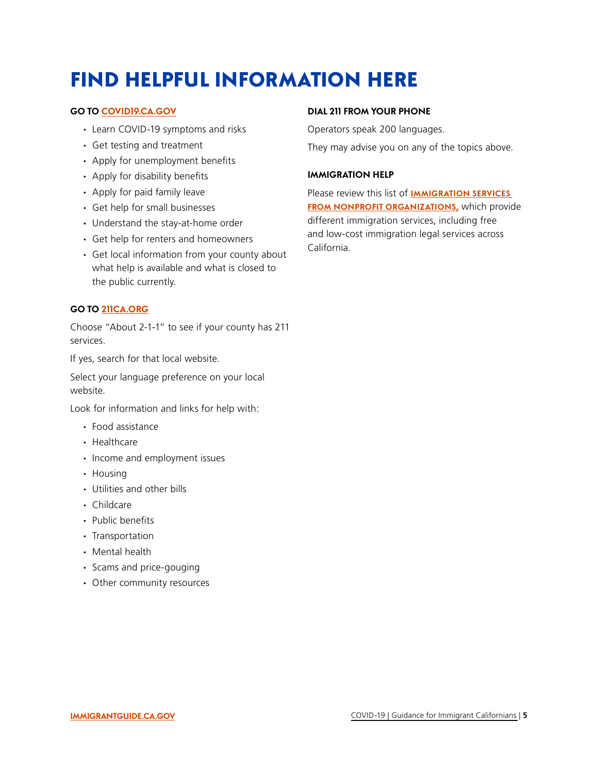## <span id="page-4-0"></span>FIND HELPFUL INFORMATION HERE

#### **GO TO [COVID19.CA.GOV](https://covid19.ca.gov/)**

- ∙ Learn COVID-19 symptoms and risks
- ∙ Get testing and treatment
- ∙ Apply for unemployment benefits
- ∙ Apply for disability benefits
- ∙ Apply for paid family leave
- ∙ Get help for small businesses
- ∙ Understand the stay-at-home order
- ∙ Get help for renters and homeowners
- ∙ Get local information from your county about what help is available and what is closed to the public currently.

#### **GO TO [211CA.ORG](https://www.211ca.org)**

Choose "About 2-1-1" to see if your county has 211 services.

If yes, search for that local website.

Select your language preference on your local website.

Look for information and links for help with:

- ∙ Food assistance
- ∙ Healthcare
- ∙ Income and employment issues
- ∙ Housing
- ∙ Utilities and other bills
- ∙ Childcare
- ∙ Public benefits
- ∙ Transportation
- ∙ Mental health
- ∙ Scams and price-gouging
- ∙ Other community resources

#### **DIAL 211 FROM YOUR PHONE**

Operators speak 200 languages.

They may advise you on any of the topics above.

#### **IMMIGRATION HELP**

Please review this list of **[IMMIGRATION SERVICES](https://www.cdss.ca.gov/benefits-services/more-services/immigration-services/immigration-services-contractors/public-charge-contact-list)  [FROM NONPROFIT ORGANIZATIONS,](https://www.cdss.ca.gov/benefits-services/more-services/immigration-services/immigration-services-contractors/public-charge-contact-list)** which provide different immigration services, including free and low-cost immigration legal services across California.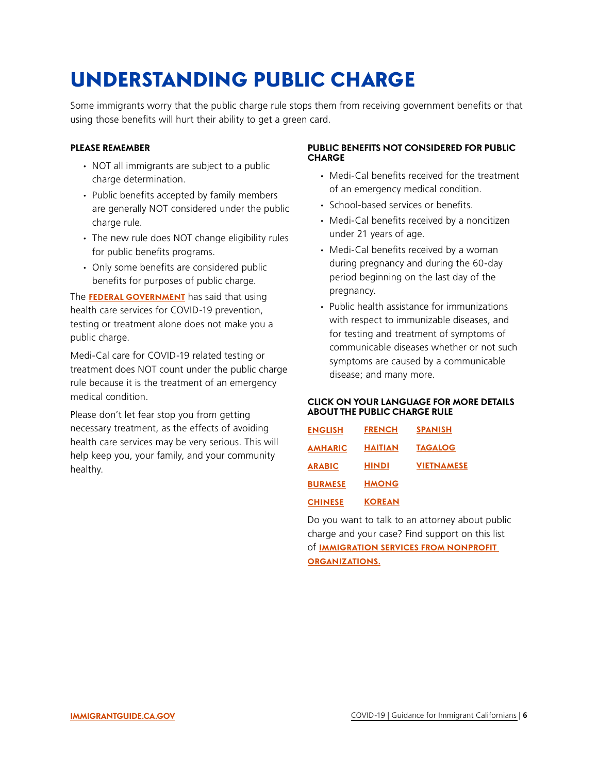## <span id="page-5-0"></span>UNDERSTANDING PUBLIC CHARGE

Some immigrants worry that the public charge rule stops them from receiving government benefits or that using those benefits will hurt their ability to get a green card.

#### **PLEASE REMEMBER**

- ∙ NOT all immigrants are subject to a public charge determination.
- ∙ Public benefits accepted by family members are generally NOT considered under the public charge rule.
- ∙ The new rule does NOT change eligibility rules for public benefits programs.
- ∙ Only some benefits are considered public benefits for purposes of public charge.

The **[FEDERAL GOVERNMENT](https://www.uscis.gov/greencard/public-charge)** has said that using health care services for COVID-19 prevention, testing or treatment alone does not make you a public charge.

Medi-Cal care for COVID-19 related testing or treatment does NOT count under the public charge rule because it is the treatment of an emergency medical condition.

Please don't let fear stop you from getting necessary treatment, as the effects of avoiding health care services may be very serious. This will help keep you, your family, and your community healthy.

#### **PUBLIC BENEFITS NOT CONSIDERED FOR PUBLIC CHARGE**

- ∙ Medi-Cal benefits received for the treatment of an emergency medical condition.
- ∙ School-based services or benefits.
- under 21 years of age. ∙ Medi-Cal benefits received by a noncitizen
- ∙ Medi-Cal benefits received by a woman during pregnancy and during the 60-day period beginning on the last day of the pregnancy.
- ∙ Public health assistance for immunizations with respect to immunizable diseases, and for testing and treatment of symptoms of communicable diseases whether or not such symptoms are caused by a communicable disease; and many more.

#### **CLICK ON YOUR LANGUAGE FOR MORE DETAILS ABOUT THE PUBLIC CHARGE RULE**

| <b>ENGLISH</b> | <b>FRENCH</b>  | <b>SPANISH</b>    |
|----------------|----------------|-------------------|
| <b>AMHARIC</b> | <b>HAITIAN</b> | <b>TAGALOG</b>    |
| <b>ARABIC</b>  | <b>HINDI</b>   | <b>VIETNAMESE</b> |
| <b>BURMESE</b> | <b>HMONG</b>   |                   |
| <b>CHINESE</b> | <b>KOREAN</b>  |                   |

Do you want to talk to an attorney about public charge and your case? Find support on this list of **[IMMIGRATION SERVICES FROM NONPROFIT](https://www.cdss.ca.gov/benefits-services/more-services/immigration-services/immigration-services-contractors/public-charge-contact-list)  [ORGANIZATIONS.](https://www.cdss.ca.gov/benefits-services/more-services/immigration-services/immigration-services-contractors/public-charge-contact-list)**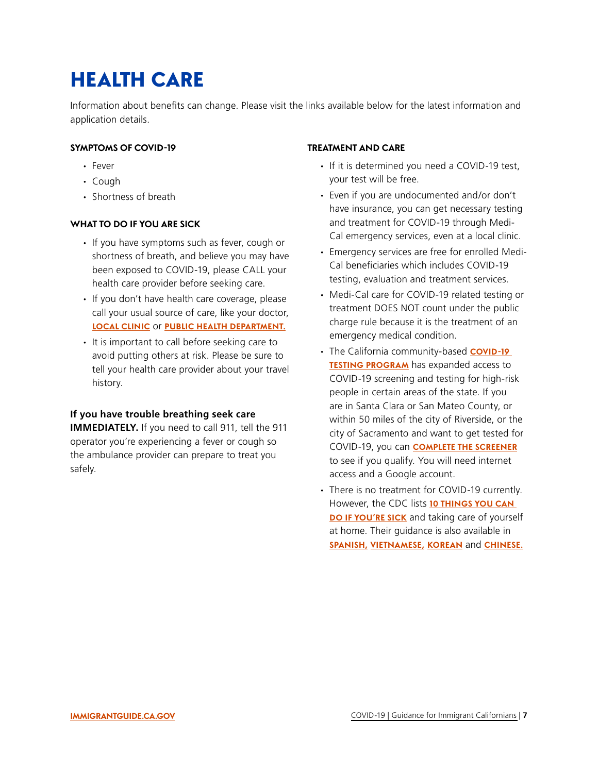## <span id="page-6-0"></span>HEALTH CARE

Information about benefits can change. Please visit the links available below for the latest information and application details.

#### **SYMPTOMS OF COVID-19**

- ∙ Fever
- ∙ Cough
- ∙ Shortness of breath

#### **WHAT TO DO IF YOU ARE SICK**

- ∙ If you have symptoms such as fever, cough or shortness of breath, and believe you may have been exposed to COVID-19, please CALL your health care provider before seeking care.
- ∙ If you don't have health care coverage, please call your usual source of care, like your doctor, **[LOCAL CLINIC](https://www.californiahealthplus.org/CHPlus/Find_My_Health_Plus_Center/CHPlus/FIND_MY_HEALTH__CENTER/Clinic-Finder.aspx?hkey=9cd9f887-b092-4439-a9bc-7032454c9273) OF [PUBLIC HEALTH DEPARTMENT](https://www.cdph.ca.gov/Pages/LocalHealthServicesAndOffices.aspx).**
- ∙ It is important to call before seeking care to avoid putting others at risk. Please be sure to tell your health care provider about your travel history.

#### **If you have trouble breathing seek care**

**IMMEDIATELY.** If you need to call 911, tell the 911 operator you're experiencing a fever or cough so the ambulance provider can prepare to treat you safely.

#### **TREATMENT AND CARE**

- ∙ If it is determined you need a COVID-19 test, your test will be free.
- ∙ Even if you are undocumented and/or don't have insurance, you can get necessary testing and treatment for COVID-19 through Medi-Cal emergency services, even at a local clinic.
- ∙ Emergency services are free for enrolled Medi-Cal beneficiaries which includes COVID-19 testing, evaluation and treatment services.
- ∙ Medi-Cal care for COVID-19 related testing or treatment DOES NOT count under the public charge rule because it is the treatment of an emergency medical condition.
- ∙ The California community-based **[COVID-19](https://blog.verily.com/2020/03/california-opens-two-new-community_23.html)  [TESTING PROGRAM](https://blog.verily.com/2020/03/california-opens-two-new-community_23.html)** has expanded access to COVID-19 screening and testing for high-risk people in certain areas of the state. If you are in Santa Clara or San Mateo County, or within 50 miles of the city of Riverside, or the city of Sacramento and want to get tested for COVID-19, you can **[COMPLETE THE SCREENER](https://www.projectbaseline.com/study/covid-19/)**  to see if you qualify. You will need internet access and a Google account.
- ∙ There is no treatment for COVID-19 currently. However, the CDC lists **[10 THINGS YOU CAN](https://www.cdc.gov/coronavirus/2019-ncov/if-you-are-sick/steps-when-sick.html?CDC_AA_refVal=https%3A%2F%2Fwww.cdc.gov%2Fcoronavirus%2F2019-ncov%2Fif-you-are-sick%2Fcaring-for-yourself-at-home.html)  [DO IF YOU'RE SICK](https://www.cdc.gov/coronavirus/2019-ncov/if-you-are-sick/steps-when-sick.html?CDC_AA_refVal=https%3A%2F%2Fwww.cdc.gov%2Fcoronavirus%2F2019-ncov%2Fif-you-are-sick%2Fcaring-for-yourself-at-home.html)** and taking care of yourself at home. Their guidance is also available in **[SPANISH,](https://www.cdc.gov/coronavirus/2019-ncov/downloads/10Things-spanish.pdf) [VIETNAMESE,](https://www.cdc.gov/coronavirus/2019-ncov/downloads/10Things-vietnamese.pdf) [KOREAN](https://www.cdc.gov/coronavirus/2019-ncov/downloads/10Things-korean.pdf)** and **[CHINESE.](https://www.cdc.gov/coronavirus/2019-ncov/downloads/10Things-chinese.pdf)**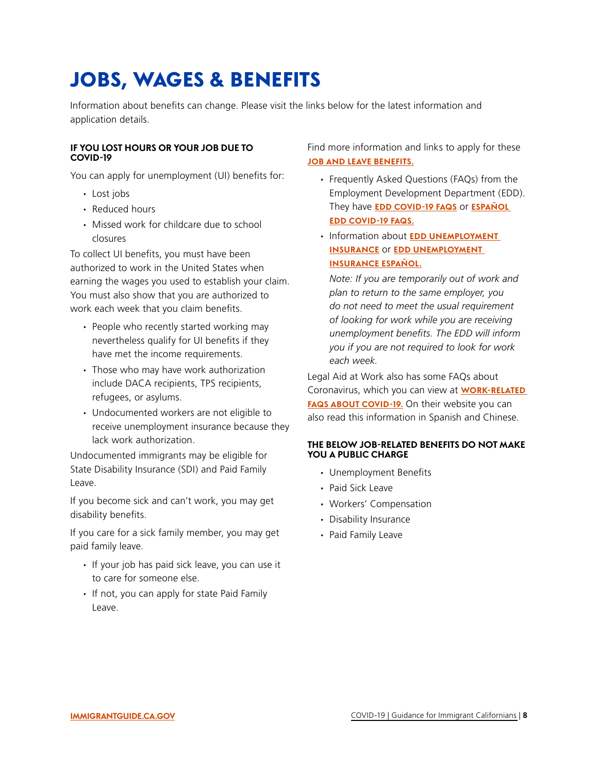## <span id="page-7-0"></span>JOBS, WAGES & BENEFITS

Information about benefits can change. Please visit the links below for the latest information and application details.

#### **IF YOU LOST HOURS OR YOUR JOB DUE TO COVID-19**

You can apply for unemployment (UI) benefits for:

- ∙ Lost jobs
- ∙ Reduced hours
- ∙ Missed work for childcare due to school closures

To collect UI benefits, you must have been authorized to work in the United States when earning the wages you used to establish your claim. You must also show that you are authorized to work each week that you claim benefits.

- ∙ People who recently started working may nevertheless qualify for UI benefits if they have met the income requirements.
- ∙ Those who may have work authorization include DACA recipients, TPS recipients, refugees, or asylums.
- ∙ Undocumented workers are not eligible to receive unemployment insurance because they lack work authorization.

Undocumented immigrants may be eligible for State Disability Insurance (SDI) and Paid Family Leave.

If you become sick and can't work, you may get disability benefits.

If you care for a sick family member, you may get paid family leave.

- ∙ If your job has paid sick leave, you can use it to care for someone else.
- ∙ If not, you can apply for state Paid Family Leave.

Find more information and links to apply for these **[JOB AND LEAVE BENEFITS.](https://www.labor.ca.gov/coronavirus2019/)** 

- ∙ Frequently Asked Questions (FAQs) from the Employment Development Department (EDD). They have **[EDD COVID-19 FAQS](https://edd.ca.gov/about_edd/coronavirus-2019/faqs.htm)** or **[ESPAÑOL](https://www.edd.ca.gov/about_edd/coronavirus-2019-espanol.htm)  [EDD COVID-19 FAQS.](https://www.edd.ca.gov/about_edd/coronavirus-2019-espanol.htm)**
- ∙ Information about **[EDD UNEMPLOYMENT](https://edd.ca.gov/Unemployment/Eligibility.htm)  [INSURANCE](https://edd.ca.gov/Unemployment/Eligibility.htm) OF EDD UNEMPLOYMENT [INSURANCE ESPAÑOL.](https://edd.ca.gov/Unemployment/eligibility_espanol.htm)**

*Note: If you are temporarily out of work and plan to return to the same employer, you do not need to meet the usual requirement of looking for work while you are receiving unemployment benefits. The EDD will inform you if you are not required to look for work each week.* 

Legal Aid at Work also has some FAQs about Coronavirus, which you can view at **[WORK-RELATED](https://legalaidatwork.org/factsheet/coronavirus-faq/)  [FAQS ABOUT COVID-19.](https://legalaidatwork.org/factsheet/coronavirus-faq/)** On their website you can also read this information in Spanish and Chinese.

#### **THE BELOW JOB-RELATED BENEFITS DO NOT MAKE YOU A PUBLIC CHARGE**

- ∙ Unemployment Benefits
- ∙ Paid Sick Leave
- ∙ Workers' Compensation
- ∙ Disability Insurance
- ∙ Paid Family Leave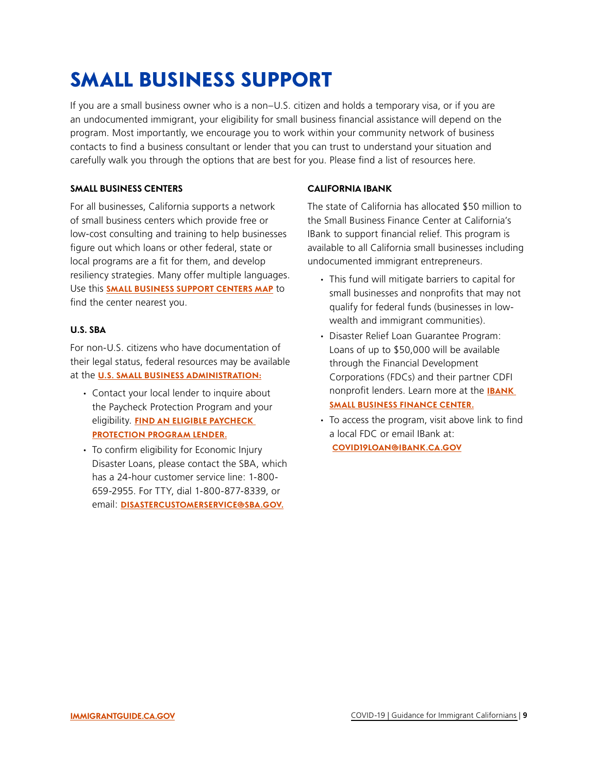## <span id="page-8-0"></span>SMALL BUSINESS SUPPORT

If you are a small business owner who is a non–U.S. citizen and holds a temporary visa, or if you are an undocumented immigrant, your eligibility for small business financial assistance will depend on the program. Most importantly, we encourage you to work within your community network of business contacts to find a business consultant or lender that you can trust to understand your situation and carefully walk you through the options that are best for you. Please find a list of resources here.

#### **SMALL BUSINESS CENTERS**

For all businesses, California supports a network of small business centers which provide free or low-cost consulting and training to help businesses figure out which loans or other federal, state or local programs are a fit for them, and develop resiliency strategies. Many offer multiple languages. Use this **[SMALL BUSINESS SUPPORT CENTERS MAP](https://business.ca.gov/advantages/small-business-innovation-and-entrepreneurship/how-we-can-help/covid-19-resources-map/)** to find the center nearest you.

#### **U.S. SBA**

For non-U.S. citizens who have documentation of their legal status, federal resources may be available at the **[U.S. SMALL BUSINESS ADMINISTRATION:](https://www.sba.gov/)** 

- ∙ Contact your local lender to inquire about the Paycheck Protection Program and your eligibility. **[FIND AN ELIGIBLE PAYCHECK](https://www.sba.gov/paycheckprotection/find)  [PROTECTION PROGRAM LENDER.](https://www.sba.gov/paycheckprotection/find)**
- ∙ To confirm eligibility for Economic Injury Disaster Loans, please contact the SBA, which has a 24-hour customer service line: 1-800 659-2955. For TTY, dial 1-800-877-8339, or email: **[DISASTERCUSTOMERSERVICE@SBA.GOV](mailto:disastercustomerservice@sba.gov).**

#### **CALIFORNIA IBANK**

The state of California has allocated \$50 million to the Small Business Finance Center at California's IBank to support financial relief. This program is available to all California small businesses including undocumented immigrant entrepreneurs.

- ∙ This fund will mitigate barriers to capital for small businesses and nonprofits that may not qualify for federal funds (businesses in lowwealth and immigrant communities).
- ∙ Disaster Relief Loan Guarantee Program: Loans of up to \$50,000 will be available through the Financial Development Corporations (FDCs) and their partner CDFI nonprofit lenders. Learn more at the **[IBANK](https://www.ibank.ca.gov/small-business-finance-center/)  [SMALL BUSINESS FINANCE CENTER](https://www.ibank.ca.gov/small-business-finance-center/).**
- ∙ To access the program, visit above link to find a local FDC or email IBank at: **[COVID19LOAN@IBANK.CA.GOV](mailto:COVID19LOAN@IBANK.CA.GOV)**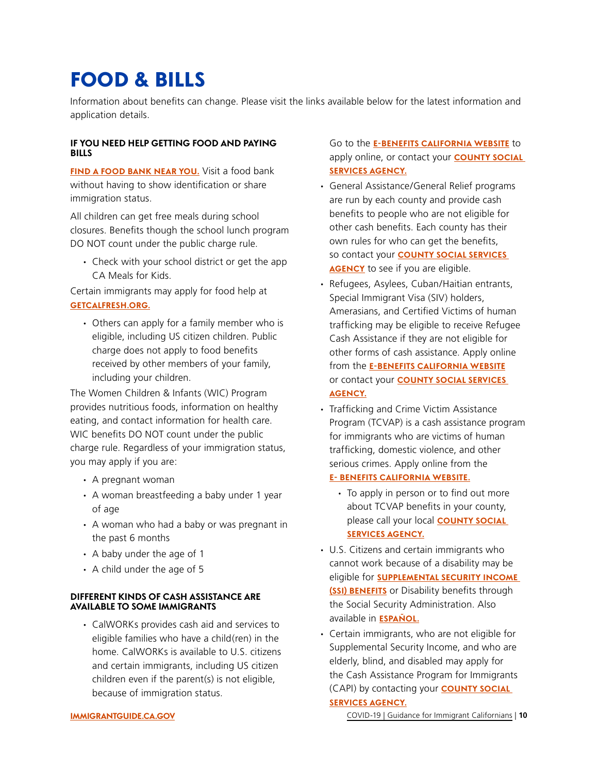### <span id="page-9-0"></span>FOOD & BILLS

Information about benefits can change. Please visit the links available below for the latest information and application details.

#### **IF YOU NEED HELP GETTING FOOD AND PAYING BILLS**

**[FIND A FOOD BANK NEAR YOU](http://www.cafoodbanks.org/?q=find-food-assistance).** Visit a food bank without having to show identification or share immigration status.

All children can get free meals during school closures. Benefits though the school lunch program DO NOT count under the public charge rule.

∙ Check with your school district or get the app CA Meals for Kids.

Certain immigrants may apply for food help at **[GETCALFRESH.ORG.](https://www.getcalfresh.org/)** 

∙ Others can apply for a family member who is eligible, including US citizen children. Public charge does not apply to food benefits received by other members of your family, including your children.

The Women Children & Infants (WIC) Program provides nutritious foods, information on healthy eating, and contact information for health care. WIC benefits DO NOT count under the public charge rule. Regardless of your immigration status, you may apply if you are:

- ∙ A pregnant woman
- ∙ A woman breastfeeding a baby under 1 year of age
- ∙ A woman who had a baby or was pregnant in the past 6 months
- ∙ A baby under the age of 1
- ∙ A child under the age of 5

#### **DIFFERENT KINDS OF CASH ASSISTANCE ARE AVAILABLE TO SOME IMMIGRANTS**

∙ CalWORKs provides cash aid and services to eligible families who have a child(ren) in the home. CalWORKs is available to U.S. citizens and certain immigrants, including US citizen children even if the parent(s) is not eligible, because of immigration status.

Go to the **[E-BENEFITS CALIFORNIA WEBSITE](http://benefitscal.org/)** to apply online, or contact your **[COUNTY SOCIAL](https://www.cdss.ca.gov/county-offices)  [SERVICES AGENCY.](https://www.cdss.ca.gov/county-offices)** 

- ∙ General Assistance/General Relief programs are run by each county and provide cash benefits to people who are not eligible for other cash benefits. Each county has their own rules for who can get the benefits, so contact your **[COUNTY SOCIAL SERVICES](https://www.cdss.ca.gov/county-offices)  [AGENCY](https://www.cdss.ca.gov/county-offices)** to see if you are eligible.
- ∙ Refugees, Asylees, Cuban/Haitian entrants, Special Immigrant Visa (SIV) holders, Amerasians, and Certified Victims of human trafficking may be eligible to receive Refugee Cash Assistance if they are not eligible for other forms of cash assistance. Apply online from the **[E-BENEFITS CALIFORNIA WEBSITE](http://benefitscal.org/)**  or contact your **[COUNTY SOCIAL SERVICES](https://www.cdss.ca.gov/county-offices)  [AGENCY](https://www.cdss.ca.gov/county-offices).**
- ∙ Trafficking and Crime Victim Assistance Program (TCVAP) is a cash assistance program for immigrants who are victims of human trafficking, domestic violence, and other serious crimes. Apply online from the

#### **[E- BENEFITS CALIFORNIA WEBSITE.](http://benefitscal.org)**

- ∙ To apply in person or to find out more about TCVAP benefits in your county, please call your local **[COUNTY SOCIAL](https://www.cdss.ca.gov/county-offices)  [SERVICES AGENCY.](https://www.cdss.ca.gov/county-offices)**
- ∙ U.S. Citizens and certain immigrants who cannot work because of a disability may be eligible for **[SUPPLEMENTAL SECURITY INCOME](https://www.ssa.gov/benefits/ssi/)  [\(SSI\) BENEFITS](https://www.ssa.gov/benefits/ssi/)** or Disability benefits through the Social Security Administration. Also available in **[ESPAÑOL](https://www.ssa.gov/espanol/beneficios/ssi/).**
- ∙ Certain immigrants, who are not eligible for Supplemental Security Income, and who are elderly, blind, and disabled may apply for the Cash Assistance Program for Immigrants (CAPI) by contacting your **[COUNTY SOCIAL](https://www.cdss.ca.gov/county-offices)  [SERVICES AGENCY.](https://www.cdss.ca.gov/county-offices)**

**[IMMIGRANTGUIDE.CA.GOV](https://immigrantguide.ca.gov/en/covid19/)** [COVID-19 | Guidance for Immigrant Californians](#page-1-0) | **10**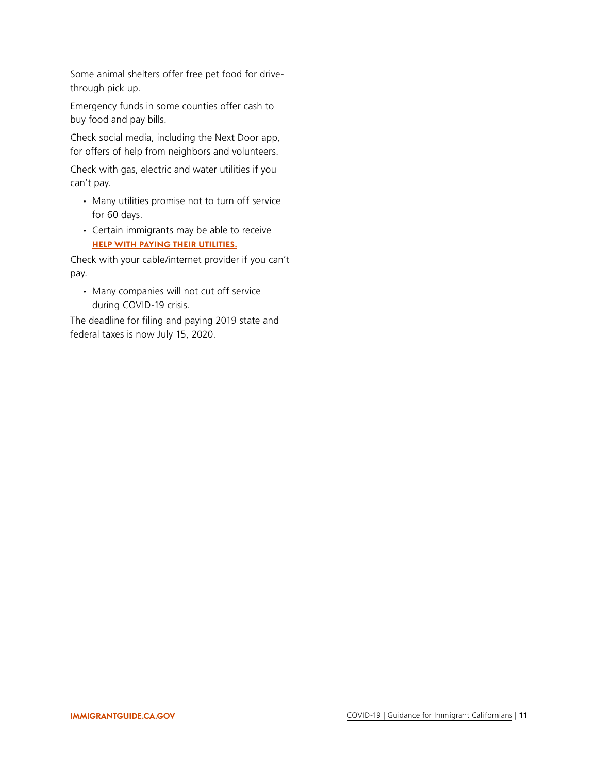Some animal shelters offer free pet food for drivethrough pick up.

Emergency funds in some counties offer cash to buy food and pay bills.

Check social media, including the Next Door app, for offers of help from neighbors and volunteers.

Check with gas, electric and water utilities if you can't pay.

- ∙ Many utilities promise not to turn off service for 60 days.
- ∙ Certain immigrants may be able to receive **[HELP WITH PAYING THEIR UTILITIES.](https://www.csd.ca.gov/Pages/Assistance-PayingMyEnergyBills.aspx)**

Check with your cable/internet provider if you can't pay.

∙ Many companies will not cut off service during COVID-19 crisis.

The deadline for filing and paying 2019 state and federal taxes is now July 15, 2020.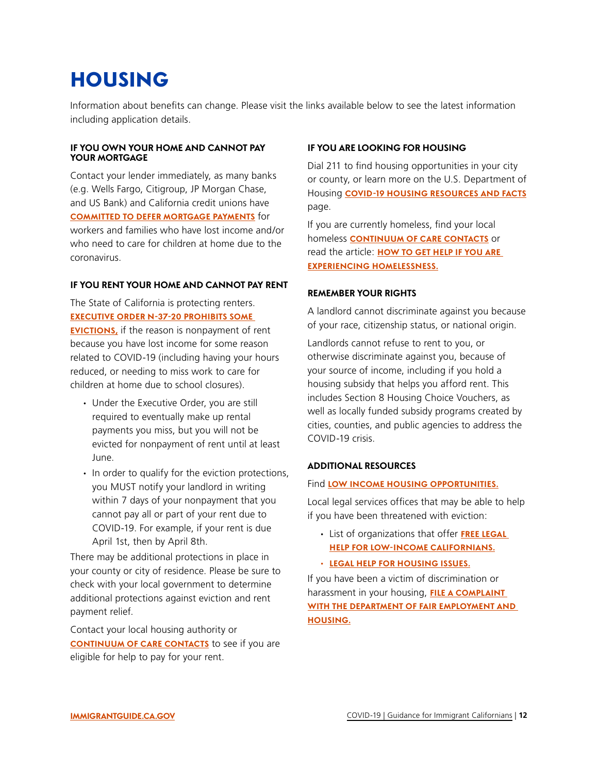### <span id="page-11-0"></span>HOUSING

Information about benefits can change. Please visit the links available below to see the latest information including application details.

#### **IF YOU OWN YOUR HOME AND CANNOT PAY YOUR MORTGAGE**

Contact your lender immediately, as many banks (e.g. Wells Fargo, Citigroup, JP Morgan Chase, and US Bank) and California credit unions have **[COMMITTED TO DEFER MORTGAGE PAYMENTS](https://www.gov.ca.gov/2020/03/25/governor-gavin-newsom-announces-major-financial-relief-package-90-day-mortgage-payment-relief-during-covid-19-crisis/)** for workers and families who have lost income and/or who need to care for children at home due to the coronavirus.

#### **IF YOU RENT YOUR HOME AND CANNOT PAY RENT**

The State of California is protecting renters. **[EXECUTIVE ORDER N-37-20 PROHIBITS SOME](https://www.gov.ca.gov/wp-content/uploads/2020/03/3.27.20-EO-N-37-20.pdf)  [EVICTIONS,](https://www.gov.ca.gov/wp-content/uploads/2020/03/3.27.20-EO-N-37-20.pdf)** if the reason is nonpayment of rent because you have lost income for some reason related to COVID-19 (including having your hours reduced, or needing to miss work to care for children at home due to school closures).

- ∙ Under the Executive Order, you are still required to eventually make up rental payments you miss, but you will not be evicted for nonpayment of rent until at least June.
- ∙ In order to qualify for the eviction protections, you MUST notify your landlord in writing within 7 days of your nonpayment that you cannot pay all or part of your rent due to COVID-19. For example, if your rent is due April 1st, then by April 8th.

There may be additional protections in place in your county or city of residence. Please be sure to check with your local government to determine additional protections against eviction and rent payment relief.

Contact your local housing authority or **[CONTINUUM OF CARE CONTACTS](https://www.bcsh.ca.gov/hcfc/documents/coc_poc.pdf)** to see if you are eligible for help to pay for your rent.

#### **IF YOU ARE LOOKING FOR HOUSING**

Dial 211 to find housing opportunities in your city or county, or learn more on the U.S. Department of Housing **[COVID-19 HOUSING RESOURCES AND FACTS](https://www.hud.gov/states/california/renting)**  page.

If you are currently homeless, find your local homeless **[CONTINUUM OF CARE CONTACTS](https://bcsh.ca.gov/hcfc/documents/coc_poc.pdf)** or read the article: **[HOW TO GET HELP IF YOU ARE](https://endhomelessness.org/how-to-get-help-experiencing-homelssness/)  [EXPERIENCING HOMELESSNESS.](https://endhomelessness.org/how-to-get-help-experiencing-homelssness/)** 

#### **REMEMBER YOUR RIGHTS**

A landlord cannot discriminate against you because of your race, citizenship status, or national origin.

Landlords cannot refuse to rent to you, or otherwise discriminate against you, because of your source of income, including if you hold a housing subsidy that helps you afford rent. This includes Section 8 Housing Choice Vouchers, as well as locally funded subsidy programs created by cities, counties, and public agencies to address the COVID-19 crisis.

#### **ADDITIONAL RESOURCES**

#### Find **[LOW INCOME HOUSING OPPORTUNITIES.](https://www.hcd.ca.gov/about/contact/affordable-housing-rental-directory/index.shtml)**

Local legal services offices that may be able to help if you have been threatened with eviction:

- ∙ List of organizations that offer **[FREE LEGAL](http://www.calbar.ca.gov/Access-to-Justice/Legal-Aid-Grants/2020-Grant-Recipients)  [HELP FOR LOW-INCOME CALIFORNIANS.](http://www.calbar.ca.gov/Access-to-Justice/Legal-Aid-Grants/2020-Grant-Recipients)**
- ∙ **[LEGAL HELP FOR HOUSING ISSUES.](https://lawhelpca.org/taxonomy/term/2)**

If you have been a victim of discrimination or harassment in your housing, **[FILE A COMPLAINT](https://www.dfeh.ca.gov/complaintprocess/#fileComplaintBody)  [WITH THE DEPARTMENT OF FAIR EMPLOYMENT AND](https://www.dfeh.ca.gov/complaintprocess/#fileComplaintBody)  [HOUSING.](https://www.dfeh.ca.gov/complaintprocess/#fileComplaintBody)**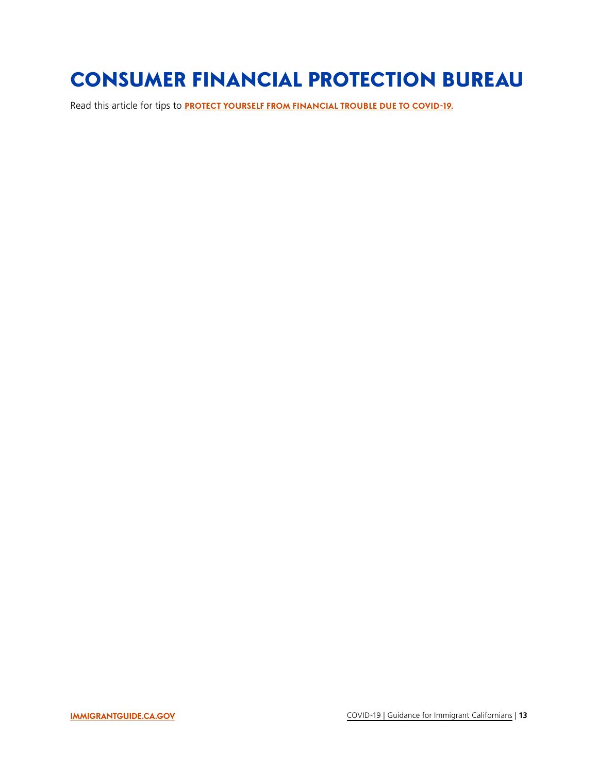### <span id="page-12-0"></span>CONSUMER FINANCIAL PROTECTION BUREAU

Read this article for tips to **[PROTECT YOURSELF FROM FINANCIAL TROUBLE DUE TO COVID-19](https://www.consumerfinance.gov/about-us/blog/protect-yourself-financially-from-impact-of-coronavirus/).**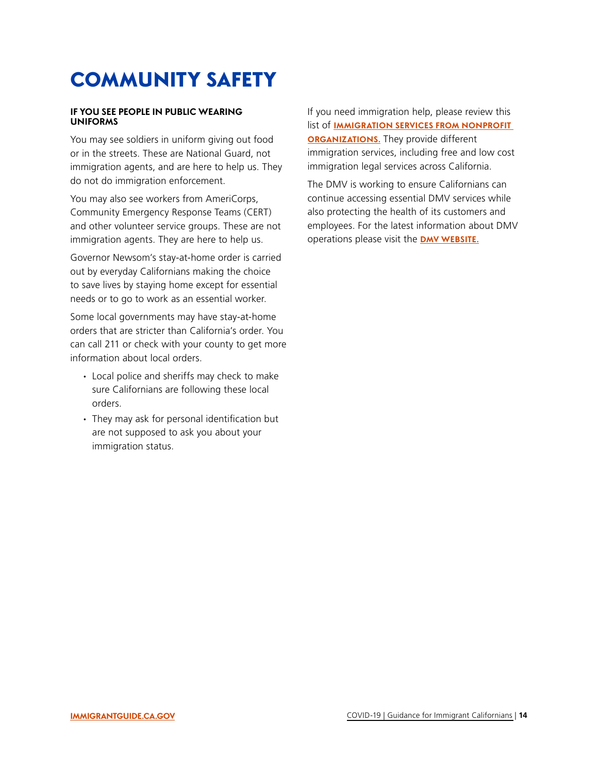### <span id="page-13-0"></span>COMMUNITY SAFETY

#### **IF YOU SEE PEOPLE IN PUBLIC WEARING UNIFORMS**

You may see soldiers in uniform giving out food or in the streets. These are National Guard, not immigration agents, and are here to help us. They do not do immigration enforcement.

You may also see workers from AmeriCorps, Community Emergency Response Teams (CERT) and other volunteer service groups. These are not immigration agents. They are here to help us.

Governor Newsom's stay-at-home order is carried out by everyday Californians making the choice to save lives by staying home except for essential needs or to go to work as an essential worker.

Some local governments may have stay-at-home orders that are stricter than California's order. You can call 211 or check with your county to get more information about local orders.

- ∙ Local police and sheriffs may check to make sure Californians are following these local orders.
- ∙ They may ask for personal identification but are not supposed to ask you about your immigration status.

If you need immigration help, please review this list of **[IMMIGRATION SERVICES FROM NONPROFIT](https://www.cdss.ca.gov/benefits-services/more-services/immigration-services/immigration-services-contractors/public-charge-contact-list)  [ORGANIZATIONS.](https://www.cdss.ca.gov/benefits-services/more-services/immigration-services/immigration-services-contractors/public-charge-contact-list)** They provide different immigration services, including free and low cost immigration legal services across California.

The DMV is working to ensure Californians can continue accessing essential DMV services while also protecting the health of its customers and employees. For the latest information about DMV operations please visit the **[DMV WEBSITE](https://www.dmv.ca.gov/portal/dmv).**